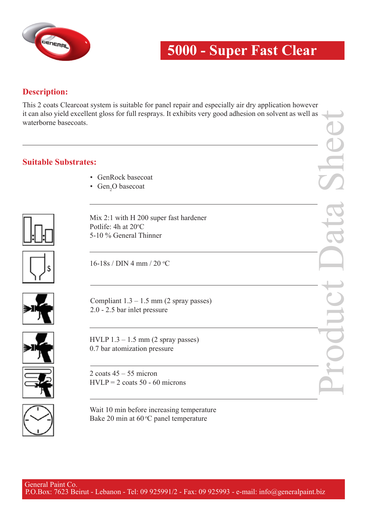

## **5000 - Super Fast Clear**

## **Description:**

This 2 coats Clearcoat system is suitable for panel repair and especially air dry application however it can also yield excellent gloss for full resprays. It exhibits very good adhesion on solvent as well as waterborne basecoats.

## **Suitable Substrates:**

- GenRock basecoat
- Gen<sub>2</sub>O basecoat



Mix 2:1 with H 200 super fast hardener Potlife: 4h at 20°C 5-10 % General Thinner



16-18s / DIN 4 mm / 20 °C



Compliant  $1.3 - 1.5$  mm (2 spray passes) 2.0 - 2.5 bar inlet pressure



HVLP  $1.3 - 1.5$  mm  $(2$  spray passes) 0.7 bar atomization pressure

2 coats  $45 - 55$  micron HVLP = 2 coats  $50 - 60$  microns



Wait 10 min before increasing temperature Bake 20 min at  $60^{\circ}$ C panel temperature